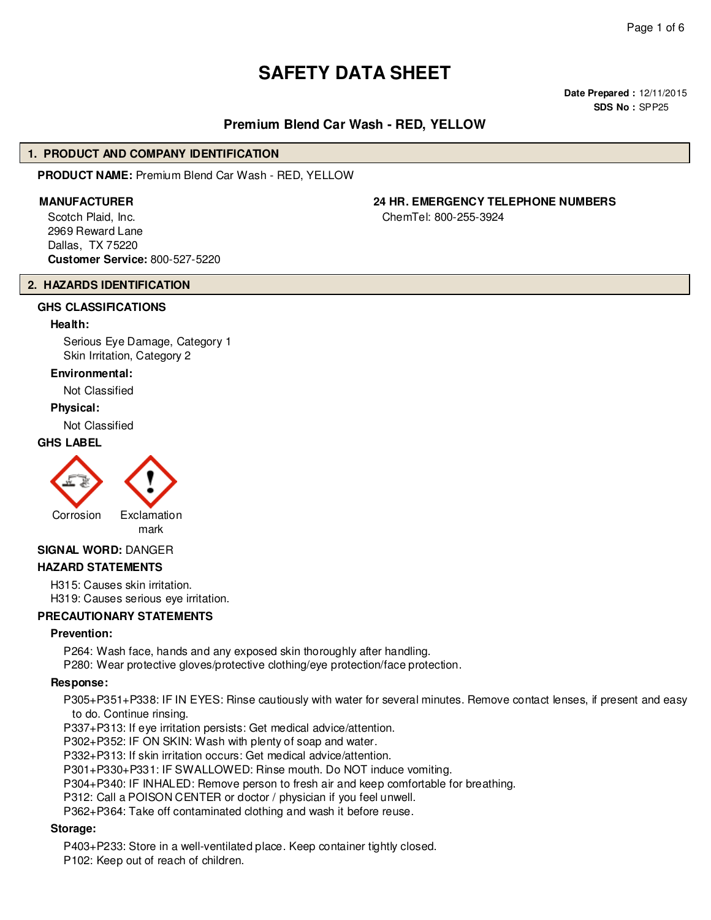# **SAFETY DATA SHEET**

**Date Prepared :** 12/11/2015 **SDS No :** SPP25

# **Premium Blend Car Wash - RED, YELLOW**

#### **1. PRODUCT AND COMPANY IDENTIFICATION**

**PRODUCT NAME:** Premium Blend Car Wash - RED, YELLOW

Scotch Plaid, Inc. 2969 Reward Lane Dallas, TX 75220 **Customer Service:** 800-527-5220

# **2. HAZARDS IDENTIFICATION**

# **GHS CLASSIFICATIONS**

#### **Health:**

Serious Eye Damage, Category 1 Skin Irritation, Category 2

#### **Environmental:**

Not Classified

#### **Physical:**

Not Classified

#### **GHS LABEL**





# **SIGNAL WORD:** DANGER

#### **HAZARD STATEMENTS**

H315: Causes skin irritation. H319: Causes serious eye irritation.

#### **PRECAUTIONARY STATEMENTS**

#### **Prevention:**

P264: Wash face, hands and any exposed skin thoroughly after handling.

P280: Wear protective gloves/protective clothing/eye protection/face protection.

#### **Response:**

P305+P351+P338: IF IN EYES: Rinse cautiously with water for several minutes. Remove contact lenses, if present and easy to do. Continue rinsing.

P337+P313: If eye irritation persists: Get medical advice/attention.

P302+P352: IF ON SKIN: Wash with plenty of soap and water.

P332+P313: If skin irritation occurs: Get medical advice/attention.

P301+P330+P331: IF SWALLOWED: Rinse mouth. Do NOT induce vomiting.

P304+P340: IF INHALED: Remove person to fresh air and keep comfortable for breathing.

P312: Call a POISON CENTER or doctor / physician if you feel unwell.

P362+P364: Take off contaminated clothing and wash it before reuse.

#### **Storage:**

P403+P233: Store in a well-ventilated place. Keep container tightly closed.

P102: Keep out of reach of children.

# **MANUFACTURER 24 HR. EMERGENCY TELEPHONE NUMBERS**

ChemTel: 800-255-3924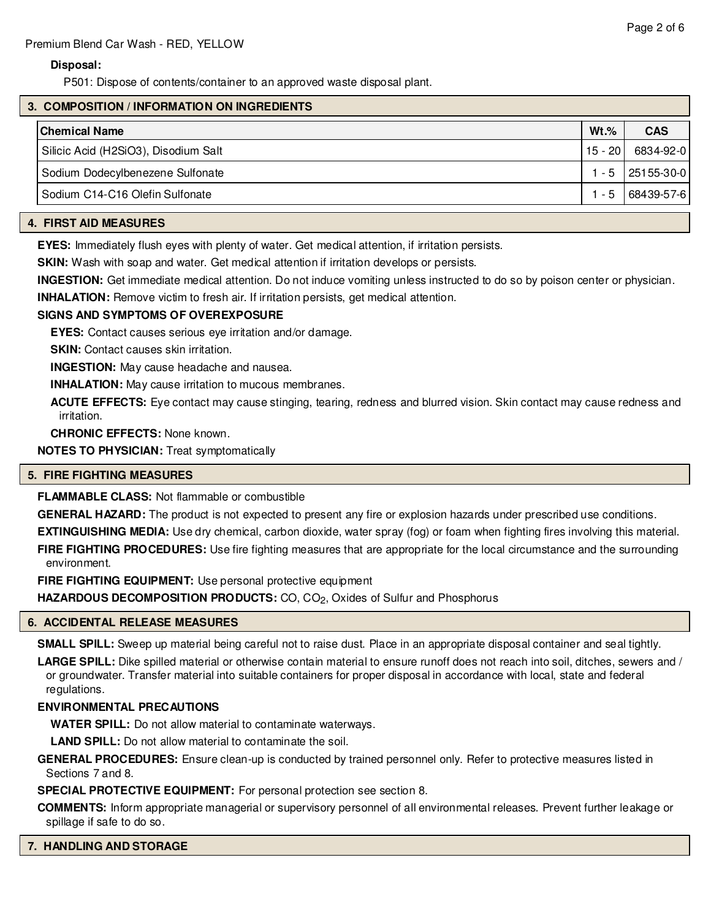# **Disposal:**

P501: Dispose of contents/container to an approved waste disposal plant.

# **3. COMPOSITION / INFORMATION ON INGREDIENTS**

| $Wt.\%$ | <b>CAS</b>           |
|---------|----------------------|
| 15 - 20 | 6834-92-0            |
|         | $1 - 5$   25155-30-0 |
| $1 - 5$ | 68439-57-6           |
|         |                      |

# **4. FIRST AID MEASURES**

**EYES:** Immediately flush eyes with plenty of water. Get medical attention, if irritation persists.

**SKIN:** Wash with soap and water. Get medical attention if irritation develops or persists.

**INGESTION:** Get immediate medical attention. Do not induce vomiting unless instructed to do so by poison center or physician.

**INHALATION:** Remove victim to fresh air. If irritation persists, get medical attention.

#### **SIGNS AND SYMPTOMS OF OVEREXPOSURE**

**EYES:** Contact causes serious eye irritation and/or damage.

**SKIN:** Contact causes skin irritation.

**INGESTION:** May cause headache and nausea.

**INHALATION:** May cause irritation to mucous membranes.

**ACUTE EFFECTS:** Eye contact may cause stinging, tearing, redness and blurred vision. Skin contact may cause redness and irritation.

**CHRONIC EFFECTS:** None known.

**NOTES TO PHYSICIAN:** Treat symptomatically

#### **5. FIRE FIGHTING MEASURES**

**FLAMMABLE CLASS:** Not flammable or combustible

**GENERAL HAZARD:** The product is not expected to present any fire or explosion hazards under prescribed use conditions.

**EXTINGUISHING MEDIA:** Use dry chemical, carbon dioxide, water spray (fog) or foam when fighting fires involving this material.

**FIRE FIGHTING PROCEDURES:** Use fire fighting measures that are appropriate for the local circumstance and the surrounding environment.

**FIRE FIGHTING EQUIPMENT:** Use personal protective equipment

**HAZARDOUS DECOMPOSITION PRODUCTS:** CO, CO<sub>2</sub>, Oxides of Sulfur and Phosphorus

#### **6. ACCIDENTAL RELEASE MEASURES**

**SMALL SPILL:** Sweep up material being careful not to raise dust. Place in an appropriate disposal container and seal tightly.

**LARGE SPILL:** Dike spilled material or otherwise contain material to ensure runoff does not reach into soil, ditches, sewers and / or groundwater. Transfer material into suitable containers for proper disposal in accordance with local, state and federal regulations.

#### **ENVIRONMENTAL PRECAUTIONS**

**WATER SPILL:** Do not allow material to contaminate waterways.

**LAND SPILL:** Do not allow material to contaminate the soil.

**GENERAL PROCEDURES:** Ensure clean-up is conducted by trained personnel only. Refer to protective measures listed in Sections 7 and 8.

**SPECIAL PROTECTIVE EQUIPMENT:** For personal protection see section 8.

**COMMENTS:** Inform appropriate managerial or supervisory personnel of all environmental releases. Prevent further leakage or spillage if safe to do so.

#### **7. HANDLING AND STORAGE**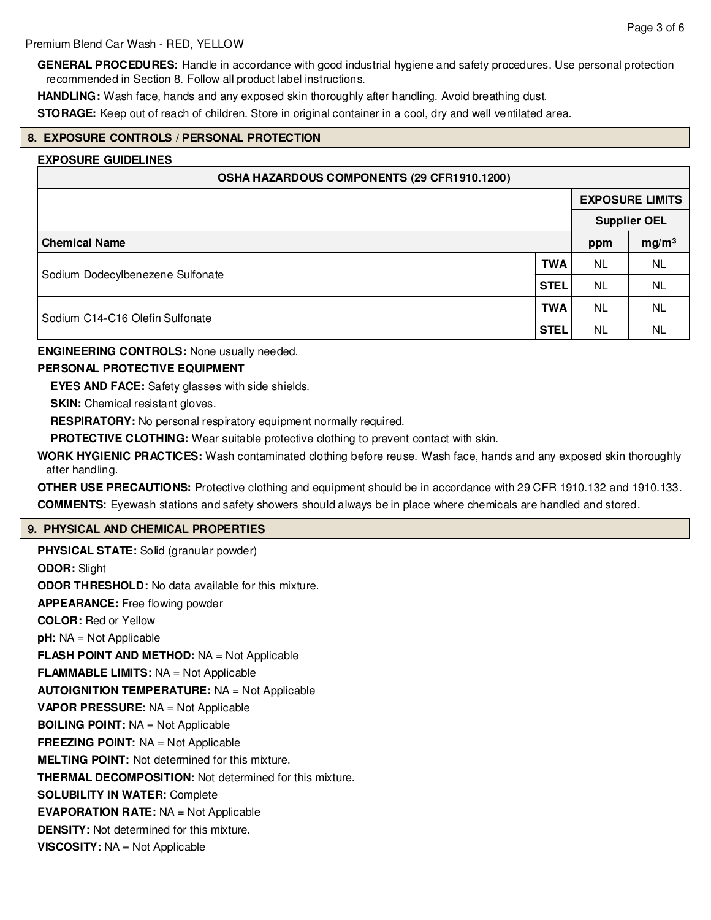**GENERAL PROCEDURES:** Handle in accordance with good industrial hygiene and safety procedures. Use personal protection recommended in Section 8. Follow all product label instructions.

**HANDLING:** Wash face, hands and any exposed skin thoroughly after handling. Avoid breathing dust.

**STORAGE:** Keep out of reach of children. Store in original container in a cool, dry and well ventilated area.

# **8. EXPOSURE CONTROLS / PERSONAL PROTECTION**

#### **EXPOSURE GUIDELINES**

| OSHA HAZARDOUS COMPONENTS (29 CFR1910.1200) |             |                        |                   |  |  |
|---------------------------------------------|-------------|------------------------|-------------------|--|--|
|                                             |             | <b>EXPOSURE LIMITS</b> |                   |  |  |
|                                             |             | <b>Supplier OEL</b>    |                   |  |  |
| <b>Chemical Name</b>                        |             |                        | mg/m <sup>3</sup> |  |  |
|                                             | <b>TWA</b>  | <b>NL</b>              | <b>NL</b>         |  |  |
| Sodium Dodecylbenezene Sulfonate            | <b>STEL</b> | NL.                    | <b>NL</b>         |  |  |
|                                             | <b>TWA</b>  | <b>NL</b>              | <b>NL</b>         |  |  |
| Sodium C14-C16 Olefin Sulfonate             | <b>STEL</b> | <b>NL</b>              | <b>NL</b>         |  |  |

**ENGINEERING CONTROLS:** None usually needed.

#### **PERSONAL PROTECTIVE EQUIPMENT**

**EYES AND FACE:** Safety glasses with side shields.

**SKIN:** Chemical resistant gloves.

**RESPIRATORY:** No personal respiratory equipment normally required.

**PROTECTIVE CLOTHING:** Wear suitable protective clothing to prevent contact with skin.

**WORK HYGIENIC PRACTICES:** Wash contaminated clothing before reuse. Wash face, hands and any exposed skin thoroughly after handling.

**OTHER USE PRECAUTIONS:** Protective clothing and equipment should be in accordance with 29 CFR 1910.132 and 1910.133. **COMMENTS:** Eyewash stations and safety showers should always be in place where chemicals are handled and stored.

#### **9. PHYSICAL AND CHEMICAL PROPERTIES**

**PHYSICAL STATE:** Solid (granular powder) **ODOR:** Slight **ODOR THRESHOLD:** No data available for this mixture. **APPEARANCE:** Free flowing powder **COLOR:** Red or Yellow **pH:** NA = Not Applicable **FLASH POINT AND METHOD:** NA = Not Applicable **FLAMMABLE LIMITS:** NA = Not Applicable **AUTOIGNITION TEMPERATURE:** NA = Not Applicable **VAPOR PRESSURE:** NA = Not Applicable **BOILING POINT:** NA = Not Applicable **FREEZING POINT:** NA = Not Applicable **MELTING POINT:** Not determined for this mixture. **THERMAL DECOMPOSITION:** Not determined for this mixture. **SOLUBILITY IN WATER:** Complete **EVAPORATION RATE:** NA = Not Applicable **DENSITY:** Not determined for this mixture. **VISCOSITY:** NA = Not Applicable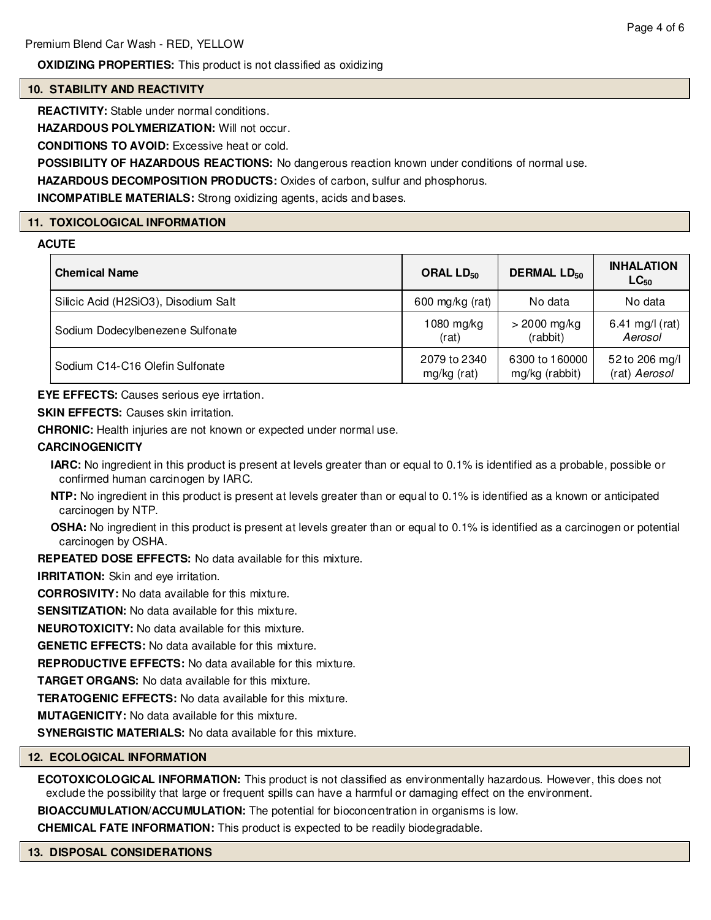**OXIDIZING PROPERTIES:** This product is not classified as oxidizing

# **10. STABILITY AND REACTIVITY**

**REACTIVITY:** Stable under normal conditions.

**HAZARDOUS POLYMERIZATION:** Will not occur.

**CONDITIONS TO AVOID:** Excessive heat or cold.

**POSSIBILITY OF HAZARDOUS REACTIONS:** No dangerous reaction known under conditions of normal use.

**HAZARDOUS DECOMPOSITION PRODUCTS:** Oxides of carbon, sulfur and phosphorus.

**INCOMPATIBLE MATERIALS:** Strong oxidizing agents, acids and bases.

# **11. TOXICOLOGICAL INFORMATION**

# **ACUTE**

| <b>Chemical Name</b>                 | ORAL LD <sub>50</sub> | <b>DERMAL LD<sub>50</sub></b> | <b>INHALATION</b><br>$LC_{50}$ |
|--------------------------------------|-----------------------|-------------------------------|--------------------------------|
| Silicic Acid (H2SiO3), Disodium Salt | 600 mg/kg (rat)       | No data                       | No data                        |
| Sodium Dodecylbenezene Sulfonate     | $1080$ mg/kg          | $>$ 2000 mg/kg                | 6.41 mg/l (rat)                |
|                                      | (rat)                 | (rabbit)                      | Aerosol                        |
| Sodium C14-C16 Olefin Sulfonate      | 2079 to 2340          | 6300 to 160000                | 52 to 206 mg/l                 |
|                                      | mg/kg (rat)           | mg/kg (rabbit)                | (rat) Aerosol                  |

**EYE EFFECTS:** Causes serious eye irrtation.

**SKIN EFFECTS:** Causes skin irritation.

**CHRONIC:** Health injuries are not known or expected under normal use.

# **CARCINOGENICITY**

**IARC:** No ingredient in this product is present at levels greater than or equal to 0.1% is identified as a probable, possible or confirmed human carcinogen by IARC.

**NTP:** No ingredient in this product is present at levels greater than or equal to 0.1% is identified as a known or anticipated carcinogen by NTP.

**OSHA:** No ingredient in this product is present at levels greater than or equal to 0.1% is identified as a carcinogen or potential carcinogen by OSHA.

**REPEATED DOSE EFFECTS:** No data available for this mixture.

**IRRITATION:** Skin and eye irritation.

**CORROSIVITY:** No data available for this mixture.

**SENSITIZATION:** No data available for this mixture.

**NEUROTOXICITY:** No data available for this mixture.

**GENETIC EFFECTS:** No data available for this mixture.

**REPRODUCTIVE EFFECTS:** No data available for this mixture.

**TARGET ORGANS:** No data available for this mixture.

**TERATOGENIC EFFECTS:** No data available for this mixture.

**MUTAGENICITY:** No data available for this mixture.

**SYNERGISTIC MATERIALS:** No data available for this mixture.

# **12. ECOLOGICAL INFORMATION**

**ECOTOXICOLOGICAL INFORMATION:** This product is not classified as environmentally hazardous. However, this does not exclude the possibility that large or frequent spills can have a harmful or damaging effect on the environment.

**BIOACCUMULATION/ACCUMULATION:** The potential for bioconcentration in organisms is low.

**CHEMICAL FATE INFORMATION:** This product is expected to be readily biodegradable.

#### **13. DISPOSAL CONSIDERATIONS**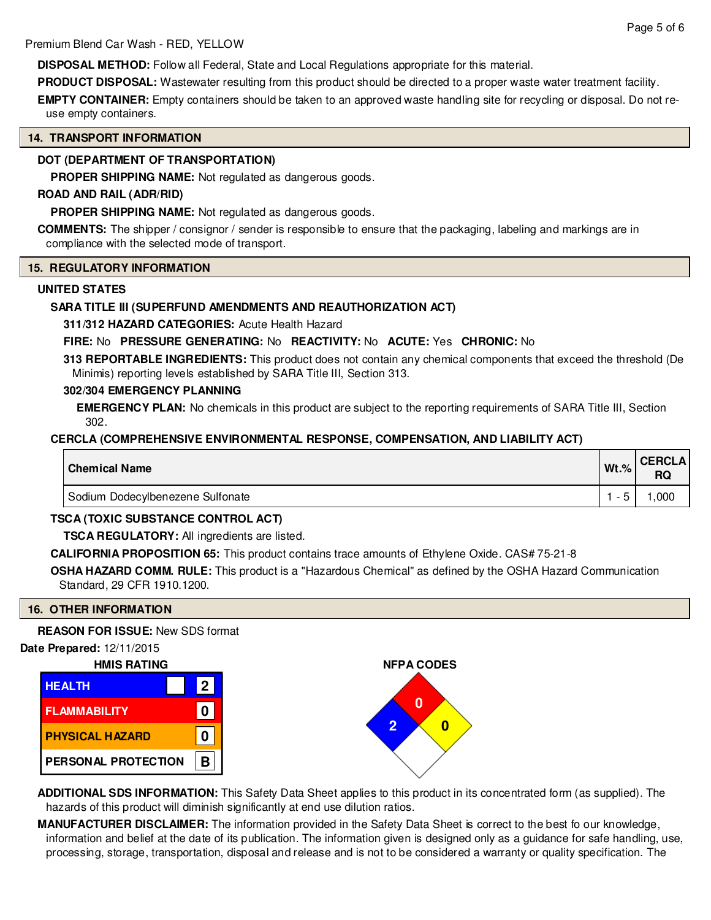**DISPOSAL METHOD:** Follow all Federal, State and Local Regulations appropriate for this material.

**PRODUCT DISPOSAL:** Wastewater resulting from this product should be directed to a proper waste water treatment facility.

**EMPTY CONTAINER:** Empty containers should be taken to an approved waste handling site for recycling or disposal. Do not reuse empty containers.

# **14. TRANSPORT INFORMATION**

# **DOT (DEPARTMENT OF TRANSPORTATION)**

**PROPER SHIPPING NAME:** Not regulated as dangerous goods.

# **ROAD AND RAIL (ADR/RID)**

**PROPER SHIPPING NAME:** Not regulated as dangerous goods.

**COMMENTS:** The shipper / consignor / sender is responsible to ensure that the packaging, labeling and markings are in compliance with the selected mode of transport.

#### **15. REGULATORY INFORMATION**

# **UNITED STATES**

# **SARA TITLE III (SUPERFUND AMENDMENTS AND REAUTHORIZATION ACT)**

**311/312 HAZARD CATEGORIES:** Acute Health Hazard

# **FIRE:** No **PRESSURE GENERATING:** No **REACTIVITY:** No **ACUTE:** Yes **CHRONIC:** No

**313 REPORTABLE INGREDIENTS:** This product does not contain any chemical components that exceed the threshold (De Minimis) reporting levels established by SARA Title III, Section 313.

# **302/304 EMERGENCY PLANNING**

**EMERGENCY PLAN:** No chemicals in this product are subject to the reporting requirements of SARA Title III, Section 302.

# **CERCLA (COMPREHENSIVE ENVIRONMENTAL RESPONSE, COMPENSATION, AND LIABILITY ACT)**

| <b>Chemical Name</b>             | $Wt.$ % | <b>CERCLA</b><br>RQ |
|----------------------------------|---------|---------------------|
| Sodium Dodecylbenezene Sulfonate |         | ,000                |

# **TSCA (TOXIC SUBSTANCE CONTROL ACT)**

**TSCA REGULATORY:** All ingredients are listed.

**CALIFORNIA PROPOSITION 65:** This product contains trace amounts of Ethylene Oxide. CAS# 75-21-8

**OSHA HAZARD COMM. RULE:** This product is a "Hazardous Chemical" as defined by the OSHA Hazard Communication Standard, 29 CFR 1910.1200.

# **16. OTHER INFORMATION**

**REASON FOR ISSUE:** New SDS format





**ADDITIONAL SDS INFORMATION:** This Safety Data Sheet applies to this product in its concentrated form (as supplied). The hazards of this product will diminish significantly at end use dilution ratios.

**MANUFACTURER DISCLAIMER:** The information provided in the Safety Data Sheet is correct to the best fo our knowledge, information and belief at the date of its publication. The information given is designed only as a guidance for safe handling, use, processing, storage, transportation, disposal and release and is not to be considered a warranty or quality specification. The